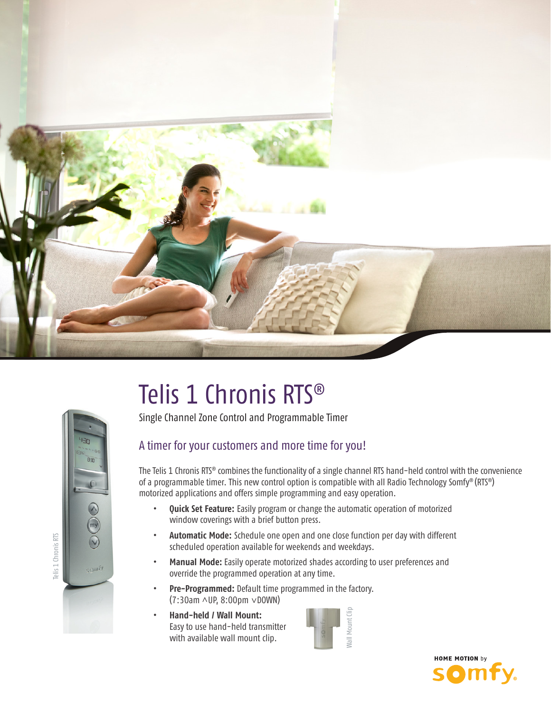

# $0.66$ Telis 1 Chronis RTS Telis 1 Chronis RTS om6

## Telis 1 Chronis RTS®

Single Channel Zone Control and Programmable Timer

#### A timer for your customers and more time for you!

The Telis 1 Chronis RTS® combines the functionality of a single channel RTS hand-held control with the convenience of a programmable timer. This new control option is compatible with all Radio Technology Somfy® (RTS®) motorized applications and offers simple programming and easy operation.

- **• Quick Set Feature:** Easily program or change the automatic operation of motorized window coverings with a brief button press.
- **Automatic Mode:** Schedule one open and one close function per day with different scheduled operation available for weekends and weekdays.
- **Manual Mode:** Easily operate motorized shades according to user preferences and override the programmed operation at any time.
- Pre-Programmed: Default time programmed in the factory. (7:30am ^UP, 8:00pm  $\vee$ DOWN)
- **• Hand-held / Wall Mount:** Easy to use hand-held transmitter with available wall mount clip.